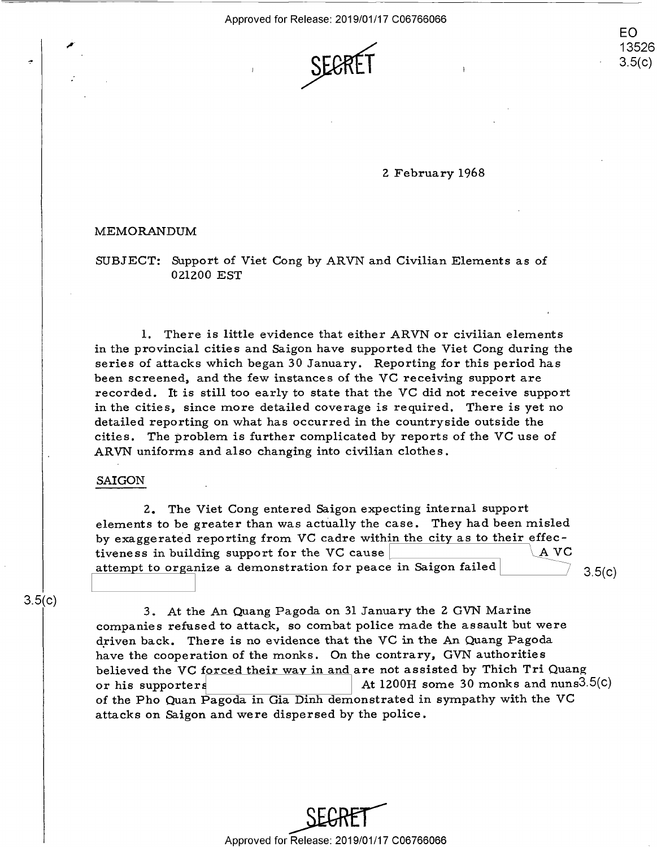

2 February 1968 <sup>2</sup> February 1968

## MEMORANDUM MEMORANDUM

SUBJECT: Support of Viet Cong by ARVN and Civilian Elements as of SUBJECT: Support of Viet Cong by ARVN and Civilian Elements as of 021200 EST 021200 EST

1. There is little evidence that either ARVN or civilian elements 1. There is little evidence that either ARVN or civilian elements in the provincial cities and Saigon have supported the Viet Cong during the in the provincial cities and Saigon have supported the Viet Cong during the series of attacks which began 30 January. Reporting for this period has series of attacks which began 30 January. Reporting for this period has been screened, and the few instances of the VC receiving support are been screened, and the few instances of the VC receiving support are recorded. It is still too early to state that the VC did not receive support in the cities, since more detailed coverage is required. There is yet no detailed reporting on what has occurred in the countryside outside the detailed reporting on what has occurred in the countryside outside the cities. The problem is further complicated by reports of the VC use of cities. The problem is further complicated by reports of the VC use of ARVN uniforms and also changing into civilian clothes. ARVN uniforms and also changing into civilian clothes .

### SAIGON SAICON

2. The Viet Cong entered Saigon expecting internal support 2. The Viet Cong entered Saigon expecting internal support elements to be greater than was actually the case. They had been misled by exaggerated reporting from VC cadre within the city as to their effecby exaggerated reporting from  $vC$  caure within the city as to their effect-<br>tiveness in building support for the VC cause attempt to organize a demonstration for peace in Saigon failed 3.5 3.5(c) 3.5(C)

3.5(c) 3.5(0)

3. At the An Quang Pagoda on 31 January the 2 GVN Marine 3. At the An Quang Pagoda on 31 January the <sup>2</sup> GVN Marine companies refused to attack, so combat police made the assault but were companies refused to attack, so combat police made the assault but were driven back. There is no evidence that the VC in the An Quang Pagoda have the cooperation of the monks. On the contrary, GVN authorities believed the VC f<u>orced their way in and</u> are not assisted by Thich Tri Quang or his supporters  $\vert$  At 1200H some 30 monks and nuns3.5(c) of the Pho Quan Pagoda in Gia Dinh demonstrated in sympathy with the VC attacks on Saigon and were dispersed by the police. attacks on Saigon and were dispersed by the police .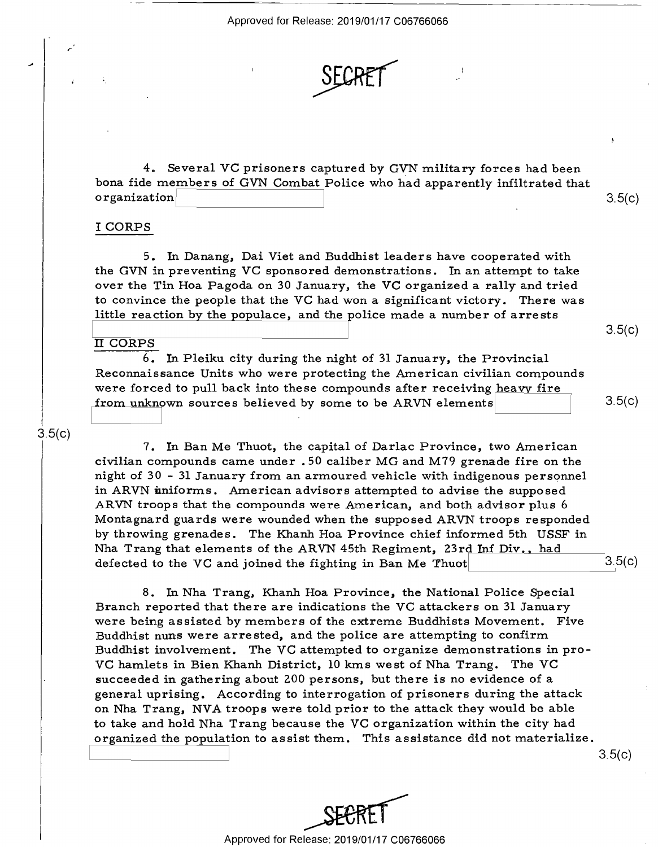# SECRET AND AN

4. Several VG prisoners captured by GVN military forces had been 4. Several VC prisoners captured by GVN military forces had been bona fide members of GVN Combat Police who had apparently infiltrated that bona fide members of GVN Combat Police who had apparently infiltrated that organization 3.5(c)  $\alpha$  organization  $\vert$  3.5(c)

## I CORPS I CORPS

*r* 

5. In Danang, Dai Viet and Buddhist leaders have cooperated with 5. In Danang, Dai Viet and Buddhist leaders have cooperated with the GVN in preventing VG sponsored demonstrations. In an attempt to take the GVN in preventing VC sponsored demonstrations. In an attempt to take over the Tin Hoa Pagoda on 30 January, the VC organized a rally and tried to convince the people that the VG had won a significant victory. There was to convince the pe0p1e that the VC had won <sup>a</sup> significant victory. There was little reaction by the populace, and the police made a number of arrests little reaction by the p0pulace, and the police made <sup>a</sup> number of arrests

#### <u>I II AASAA MIRAAD MIRAAD MIRAAD MIRAAD MIRAAD MIRAAD MIRAAD MIRAAD MIRAAD MIRAAD MIRAAD MIRAAD MIRAAD MIRAAD M</u> II CORPS II CORPS

I I

6. In Pleiku city during the night of 31 January, the Provincial 6. In Pleiku city during the night of 31 January, the Provincial Reconnaissance Units who were protecting the American civilian compounds Reconnaissance Units who were protecting the American civilian compounds were forced to pull back into these compounds after receiving heavy fire from unknown sources believed by some to be ARVN elements  $\begin{array}{|c|c|c|c|}\hline & & & 3.5(0) \\\hline \end{array}$ 

## $3.5(c)$

<sup>1</sup> 7. In Ban Me Thuot, the capital of Darlac Province, two American civilian compounds came under . 50 caliber MG and M79 grenade fire on the civilian compounds came under . 50 caliber MG and M79 grenade fire on the night of 30 - 31 January from an armoured vehicle with indigenous personnel night of 30 - 31 January from an armoured vehicle with indigenous personnel in ARVN uniforms. American advisors attempted to advise the supposed ARVN troops that the compounds were American, and both advisor plus 6 ARVN troops that the compounds were American, and both advisor plus 6 Montagnard guards were wounded when the supposed ARVN troops responded Montagnard guards were wounded when the supposed ARVN troops responded by throwing grenades. The Khanh Hoa Province chief informed 5th USSF in by throwing grenades. The Khanh Hoa Province chief informed 5th USSF in Nha Trang that elements of the ARVN 45th Regiment, 23rd Inf Div., had defected to the VC and joined the fighting in Ban Me Thuot  $3.5(c)$ 

8. In Nha Trang, Khanh Hoa Province, the National Police Special 8. In Nha Trang, Khanh Hoa Province, the National Police Special Branch reported that there are indications the VG attackers on 31 January Branch reported that there are indications the VC attackers on 31 January were being assisted by members of the extreme Buddhists Movement. Five were being assisted by members of the extreme Buddhists Movement. Five Buddhist nuns were arrested, and the police are attempting to confirm Buddhist involvement. The VG attempted to organize demonstrations in pro-Buddhist involvement. The VC attempted to organize demonstrations in pro-VC hamlets in Bien Khanh District, 10 kms west of Nha Trang. The VC succeeded in gathering about 200 persons, but there is no evidence of a general uprising. According to interrogation of prisoners during the attack genera<sup>l</sup> uprising. According to interrogation of prisoners during the attack on Nha Trang, NVA troops were told prior to the attack they would be able on Nha Trang, NVA troops were told prior to the attack they would be able to take and hold Nha Trang because the VG organization within the city had to take and hold Nha Trang because the VC organization within the city had organized the population to assist them. This assistance did not materialize.

3.5(c)  $3.5(c)$ 



 $\overline{\mathbf{y}}$